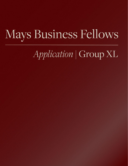# Mays Business Fellows

Application | Group XL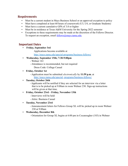# **Requirements**

- Must be a current student in Mays Business School or an approved exception to policy
- Must have completed at least 60 hours of coursework (U3, U4, or Graduate Students)
- Must have a current cumulative GPA of 3.0 or higher
- Must be in residence at Texas A&M University for the Spring 2022 semester
- Exceptions to these requirements may be made at the discretion of the Fellows Director. To request an exception, email [fellows@mays.tamu.edu.](mailto:fellows@mays.tamu.edu)

## **Important Dates**

- **Friday, September 3rd**
	- Applications become available at

<http://mays.tamu.edu/special-programs/business-fellows/>

- **Wednesday, September 15th; 7:30-9:00pm**
	- Wehner 161
	- Attendance is recommended, but not required
		- Dress Code: College Casual
- **Friday, October 1st**
	- Application must be submitted *electronically* by **11:59 p.m.** at [http://mays.tamu.edu/special-](http://mays.tamu.edu/special-programs/business-fellows/) [programs/business-fellows/](http://mays.tamu.edu/special-programs/business-fellows/)

#### ▪ **Tuesday, October 26th**

- Applicants will be notified if they are selected for an interview via a letter that is to be picked up at 9:00am in room Wehner 230. Sign-up instructions will be given at that time.

- **Friday, October 23rd Friday, November 13th**
	- Interviews will be held
	- Attire: Business Casual
- **Tuesday, November 23rd**
	- Announcement letters for Fellows Group XL will be picked up in room Wehner 230 at 9:00am
- **Wednesday, December 8th**
	- Orientation for Group XL begins at 6:00 pm in Cocanougher (183) in Wehner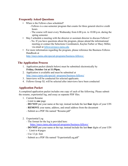## **Frequently Asked Questions**

- When is the Fellows class scheduled?
	- Fellows is a one-semester program that counts for three general elective credit hours
	- The course will meet every Wednesday from 6:00 p.m. to 10:00 p.m. during the spring semester.
- May I schedule a meeting with the director or assistant director to discuss Fellows?
	- No. If you have questions about the program, please attend the informational meeting or contact the Selections Coordinators, Kaylee Farber or Macy Miller, via email at [fellows@mays.tamu.edu](mailto:fellows@mays.tamu.edu)
- For more information regarding the program, please reference the Business Fellows Handbook at

<http://mays.tamu.edu/special-programs/business-fellows/>.

#### **The Application Process**

- 1. Application packet (details below) must be submitted electronically by **Friday, October 1st at 11:59pm.**
- 2. Application is available and must be submitted at [http://mays.tamu.edu/special-](http://mays.tamu.edu/special-programs/business-fellows/) [programs/business-fellows/](http://mays.tamu.edu/special-programs/business-fellows/)
- 3. Interviews will be conducted for selected applicants.
- 4. Fellows Group XL will be selected after interviews have been conducted

## **Application Packet**

A completed application packet includes one copy of each of the following. Please submit the resume, experiential log, and essay as separate PDF files.

- 1. Current Resume
	- Limit to **one** page
	- **DO NOT** put your name at the top; instead include the last **four** digits of your UIN
	- **REMOVE** your name, address, and email address from the document
	- Submit as a PDF file named "Resume.pdf"
- 2. Experiential Log
	- The format for the log is provided here:

<https://mays.tamu.edu/special-programs/business-fellows/>

- **DO NOT** put your name at the top; instead include the last **four** digits of your UIN
- Limit to **4** pages
- Use 12 pt. font
- Submit as a PDF file named "ExperientialLog.pdf"